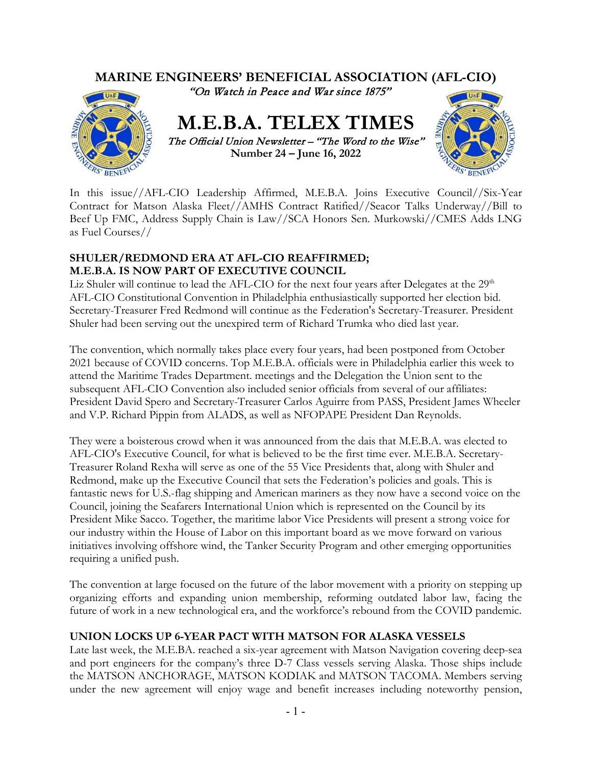

In this issue//AFL-CIO Leadership Affirmed, M.E.B.A. Joins Executive Council//Six-Year Contract for Matson Alaska Fleet//AMHS Contract Ratified//Seacor Talks Underway//Bill to Beef Up FMC, Address Supply Chain is Law//SCA Honors Sen. Murkowski//CMES Adds LNG as Fuel Courses//

### **SHULER/REDMOND ERA AT AFL-CIO REAFFIRMED; M.E.B.A. IS NOW PART OF EXECUTIVE COUNCIL**

Liz Shuler will continue to lead the AFL-CIO for the next four years after Delegates at the  $29<sup>th</sup>$ AFL-CIO Constitutional Convention in Philadelphia enthusiastically supported her election bid. Secretary-Treasurer Fred Redmond will continue as the Federation's Secretary-Treasurer. President Shuler had been serving out the unexpired term of Richard Trumka who died last year.

The convention, which normally takes place every four years, had been postponed from October 2021 because of COVID concerns. Top M.E.B.A. officials were in Philadelphia earlier this week to attend the Maritime Trades Department. meetings and the Delegation the Union sent to the subsequent AFL-CIO Convention also included senior officials from several of our affiliates: President David Spero and Secretary-Treasurer Carlos Aguirre from PASS, President James Wheeler and V.P. Richard Pippin from ALADS, as well as NFOPAPE President Dan Reynolds.

They were a boisterous crowd when it was announced from the dais that M.E.B.A. was elected to AFL-CIO's Executive Council, for what is believed to be the first time ever. M.E.B.A. Secretary-Treasurer Roland Rexha will serve as one of the 55 Vice Presidents that, along with Shuler and Redmond, make up the Executive Council that sets the Federation's policies and goals. This is fantastic news for U.S.-flag shipping and American mariners as they now have a second voice on the Council, joining the Seafarers International Union which is represented on the Council by its President Mike Sacco. Together, the maritime labor Vice Presidents will present a strong voice for our industry within the House of Labor on this important board as we move forward on various initiatives involving offshore wind, the Tanker Security Program and other emerging opportunities requiring a unified push.

The convention at large focused on the future of the labor movement with a priority on stepping up organizing efforts and expanding union membership, reforming outdated labor law, facing the future of work in a new technological era, and the workforce's rebound from the COVID pandemic.

#### **UNION LOCKS UP 6-YEAR PACT WITH MATSON FOR ALASKA VESSELS**

Late last week, the M.E.BA. reached a six-year agreement with Matson Navigation covering deep-sea and port engineers for the company's three D-7 Class vessels serving Alaska. Those ships include the MATSON ANCHORAGE, MATSON KODIAK and MATSON TACOMA. Members serving under the new agreement will enjoy wage and benefit increases including noteworthy pension,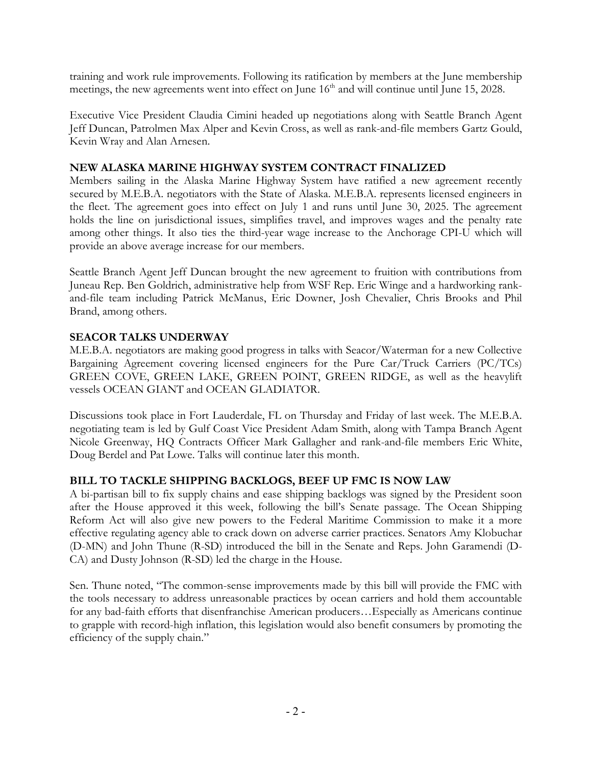training and work rule improvements. Following its ratification by members at the June membership meetings, the new agreements went into effect on June 16<sup>th</sup> and will continue until June 15, 2028.

Executive Vice President Claudia Cimini headed up negotiations along with Seattle Branch Agent Jeff Duncan, Patrolmen Max Alper and Kevin Cross, as well as rank-and-file members Gartz Gould, Kevin Wray and Alan Arnesen.

### **NEW ALASKA MARINE HIGHWAY SYSTEM CONTRACT FINALIZED**

Members sailing in the Alaska Marine Highway System have ratified a new agreement recently secured by M.E.B.A. negotiators with the State of Alaska. M.E.B.A. represents licensed engineers in the fleet. The agreement goes into effect on July 1 and runs until June 30, 2025. The agreement holds the line on jurisdictional issues, simplifies travel, and improves wages and the penalty rate among other things. It also ties the third-year wage increase to the Anchorage CPI-U which will provide an above average increase for our members.

Seattle Branch Agent Jeff Duncan brought the new agreement to fruition with contributions from Juneau Rep. Ben Goldrich, administrative help from WSF Rep. Eric Winge and a hardworking rankand-file team including Patrick McManus, Eric Downer, Josh Chevalier, Chris Brooks and Phil Brand, among others.

### **SEACOR TALKS UNDERWAY**

M.E.B.A. negotiators are making good progress in talks with Seacor/Waterman for a new Collective Bargaining Agreement covering licensed engineers for the Pure Car/Truck Carriers (PC/TCs) GREEN COVE, GREEN LAKE, GREEN POINT, GREEN RIDGE, as well as the heavylift vessels OCEAN GIANT and OCEAN GLADIATOR.

Discussions took place in Fort Lauderdale, FL on Thursday and Friday of last week. The M.E.B.A. negotiating team is led by Gulf Coast Vice President Adam Smith, along with Tampa Branch Agent Nicole Greenway, HQ Contracts Officer Mark Gallagher and rank-and-file members Eric White, Doug Berdel and Pat Lowe. Talks will continue later this month.

## **BILL TO TACKLE SHIPPING BACKLOGS, BEEF UP FMC IS NOW LAW**

A bi-partisan bill to fix supply chains and ease shipping backlogs was signed by the President soon after the House approved it this week, following the bill's Senate passage. The Ocean Shipping Reform Act will also give new powers to the Federal Maritime Commission to make it a more effective regulating agency able to crack down on adverse carrier practices. Senators Amy Klobuchar (D-MN) and John Thune (R-SD) introduced the bill in the Senate and Reps. John Garamendi (D-CA) and Dusty Johnson (R-SD) led the charge in the House.

Sen. Thune noted, "The common-sense improvements made by this bill will provide the FMC with the tools necessary to address unreasonable practices by ocean carriers and hold them accountable for any bad-faith efforts that disenfranchise American producers…Especially as Americans continue to grapple with record-high inflation, this legislation would also benefit consumers by promoting the efficiency of the supply chain."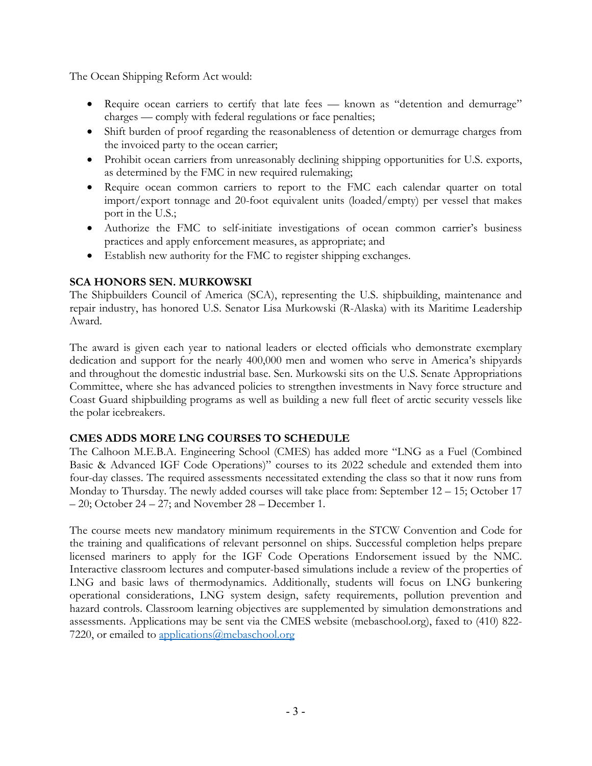The Ocean Shipping Reform Act would:

- Require ocean carriers to certify that late fees known as "detention and demurrage" charges — comply with federal regulations or face penalties;
- Shift burden of proof regarding the reasonableness of detention or demurrage charges from the invoiced party to the ocean carrier;
- Prohibit ocean carriers from unreasonably declining shipping opportunities for U.S. exports, as determined by the FMC in new required rulemaking;
- Require ocean common carriers to report to the FMC each calendar quarter on total import/export tonnage and 20-foot equivalent units (loaded/empty) per vessel that makes port in the U.S.;
- Authorize the FMC to self-initiate investigations of ocean common carrier's business practices and apply enforcement measures, as appropriate; and
- Establish new authority for the FMC to register shipping exchanges.

# **SCA HONORS SEN. MURKOWSKI**

The Shipbuilders Council of America (SCA), representing the U.S. shipbuilding, maintenance and repair industry, has honored U.S. Senator Lisa Murkowski (R-Alaska) with its Maritime Leadership Award.

The award is given each year to national leaders or elected officials who demonstrate exemplary dedication and support for the nearly 400,000 men and women who serve in America's shipyards and throughout the domestic industrial base. Sen. Murkowski sits on the U.S. Senate Appropriations Committee, where she has advanced policies to strengthen investments in Navy force structure and Coast Guard shipbuilding programs as well as building a new full fleet of arctic security vessels like the polar icebreakers.

## **CMES ADDS MORE LNG COURSES TO SCHEDULE**

The Calhoon M.E.B.A. Engineering School (CMES) has added more "LNG as a Fuel (Combined Basic & Advanced IGF Code Operations)" courses to its 2022 schedule and extended them into four-day classes. The required assessments necessitated extending the class so that it now runs from Monday to Thursday. The newly added courses will take place from: September 12 – 15; October 17 – 20; October 24 – 27; and November 28 – December 1.

The course meets new mandatory minimum requirements in the STCW Convention and Code for the training and qualifications of relevant personnel on ships. Successful completion helps prepare licensed mariners to apply for the IGF Code Operations Endorsement issued by the NMC. Interactive classroom lectures and computer-based simulations include a review of the properties of LNG and basic laws of thermodynamics. Additionally, students will focus on LNG bunkering operational considerations, LNG system design, safety requirements, pollution prevention and hazard controls. Classroom learning objectives are supplemented by simulation demonstrations and assessments. Applications may be sent via the CMES website (mebaschool.org), faxed to (410) 822 7220, or emailed to [applications@mebaschool.org](mailto:applications@mebaschool.org)